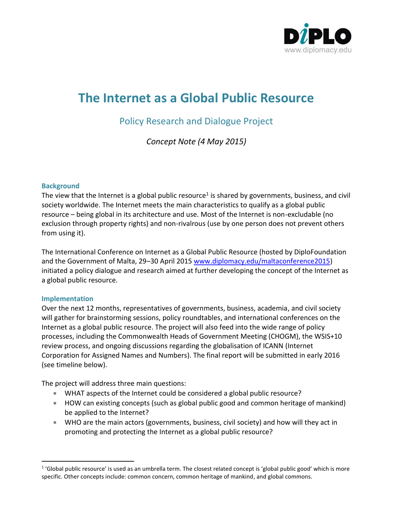

# **The Internet as a Global Public Resource**

# Policy Research and Dialogue Project

*Concept Note (4 May 2015)*

### **Background**

The view that the Internet is a global public resource<sup>1</sup> is shared by governments, business, and civil society worldwide. The Internet meets the main characteristics to qualify as a global public resource – being global in its architecture and use. Most of the Internet is non-excludable (no exclusion through property rights) and non-rivalrous (use by one person does not prevent others from using it).

The International Conference on Internet as a Global Public Resource (hosted by DiploFoundation and the Government of Malta, 29-30 April 2015 [www.diplomacy.edu/maltaconference2015\)](file:///C:/Users/Stephanie/Documents/Diplo/Malta%20Conference%20April%202015/www.diplomacy.edu/maltaconference2015) initiated a policy dialogue and research aimed at further developing the concept of the Internet as a global public resource.

### **Implementation**

l

Over the next 12 months, representatives of governments, business, academia, and civil society will gather for brainstorming sessions, policy roundtables, and international conferences on the Internet as a global public resource. The project will also feed into the wide range of policy processes, including the Commonwealth Heads of Government Meeting (CHOGM), the WSIS+10 review process, and ongoing discussions regarding the globalisation of ICANN (Internet Corporation for Assigned Names and Numbers). The final report will be submitted in early 2016 (see timeline below).

The project will address three main questions:

- WHAT aspects of the Internet could be considered a global public resource?
- HOW can existing concepts (such as global public good and common heritage of mankind) be applied to the Internet?
- WHO are the main actors (governments, business, civil society) and how will they act in promoting and protecting the Internet as a global public resource?

<sup>&</sup>lt;sup>1</sup> 'Global public resource' is used as an umbrella term. The closest related concept is 'global public good' which is more specific. Other concepts include: common concern, common heritage of mankind, and global commons.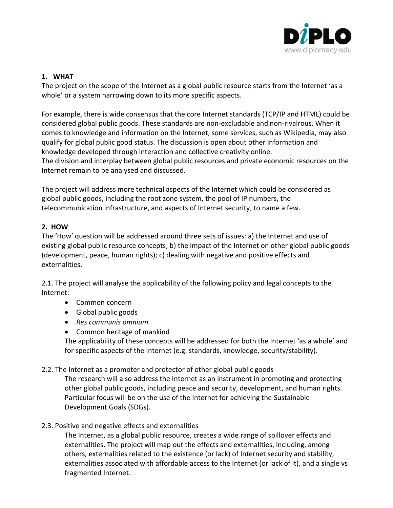

## **1. WHAT**

The project on the scope of the Internet as a global public resource starts from the Internet 'as a whole' or a system narrowing down to its more specific aspects.

For example, there is wide consensus that the core Internet standards (TCP/IP and HTML) could be considered global public goods. These standards are non-excludable and non-rivalrous. When it comes to knowledge and information on the Internet, some services, such as Wikipedia, may also qualify for global public good status. The discussion is open about other information and knowledge developed through interaction and collective creativity online. The division and interplay between global public resources and private economic resources on the Internet remain to be analysed and discussed.

The project will address more technical aspects of the Internet which could be considered as global public goods, including the root zone system, the pool of IP numbers, the telecommunication infrastructure, and aspects of Internet security, to name a few.

# **2. HOW**

The 'How' question will be addressed around three sets of issues: a) the Internet and use of existing global public resource concepts; b) the impact of the Internet on other global public goods (development, peace, human rights); c) dealing with negative and positive effects and externalities.

2.1. The project will analyse the applicability of the following policy and legal concepts to the Internet:

- Common concern
- Global public goods
- *Res communis omnium*
- Common heritage of mankind

The applicability of these concepts will be addressed for both the Internet 'as a whole' and for specific aspects of the Internet (e.g. standards, knowledge, security/stability).

2.2. The Internet as a promoter and protector of other global public goods

The research will also address the Internet as an instrument in promoting and protecting other global public goods, including peace and security, development, and human rights. Particular focus will be on the use of the Internet for achieving the Sustainable Development Goals (SDGs).

2.3. Positive and negative effects and externalities

The Internet, as a global public resource, creates a wide range of spillover effects and externalities. The project will map out the effects and externalities, including, among others, externalities related to the existence (or lack) of Internet security and stability, externalities associated with affordable access to the Internet (or lack of it), and a single vs fragmented Internet.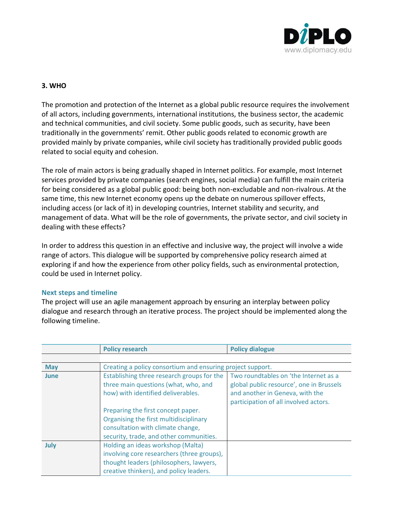

# **3. WHO**

The promotion and protection of the Internet as a global public resource requires the involvement of all actors, including governments, international institutions, the business sector, the academic and technical communities, and civil society. Some public goods, such as security, have been traditionally in the governments' remit. Other public goods related to economic growth are provided mainly by private companies, while civil society has traditionally provided public goods related to social equity and cohesion.

The role of main actors is being gradually shaped in Internet politics. For example, most Internet services provided by private companies (search engines, social media) can fulfill the main criteria for being considered as a global public good: being both non-excludable and non-rivalrous. At the same time, this new Internet economy opens up the debate on numerous spillover effects, including access (or lack of it) in developing countries, Internet stability and security, and management of data. What will be the role of governments, the private sector, and civil society in dealing with these effects?

In order to address this question in an effective and inclusive way, the project will involve a wide range of actors. This dialogue will be supported by comprehensive policy research aimed at exploring if and how the experience from other policy fields, such as environmental protection, could be used in Internet policy.

### **Next steps and timeline**

The project will use an agile management approach by ensuring an interplay between policy dialogue and research through an iterative process. The project should be implemented along the following timeline.

|            | <b>Policy research</b>                                     | <b>Policy dialogue</b>                   |
|------------|------------------------------------------------------------|------------------------------------------|
|            |                                                            |                                          |
| <b>May</b> | Creating a policy consortium and ensuring project support. |                                          |
| June       | Establishing three research groups for the                 | Two roundtables on 'the Internet as a    |
|            | three main questions (what, who, and                       | global public resource', one in Brussels |
|            | how) with identified deliverables.                         | and another in Geneva, with the          |
|            |                                                            | participation of all involved actors.    |
|            | Preparing the first concept paper.                         |                                          |
|            | Organising the first multidisciplinary                     |                                          |
|            | consultation with climate change,                          |                                          |
|            | security, trade, and other communities.                    |                                          |
| July       | Holding an ideas workshop (Malta)                          |                                          |
|            | involving core researchers (three groups),                 |                                          |
|            | thought leaders (philosophers, lawyers,                    |                                          |
|            | creative thinkers), and policy leaders.                    |                                          |